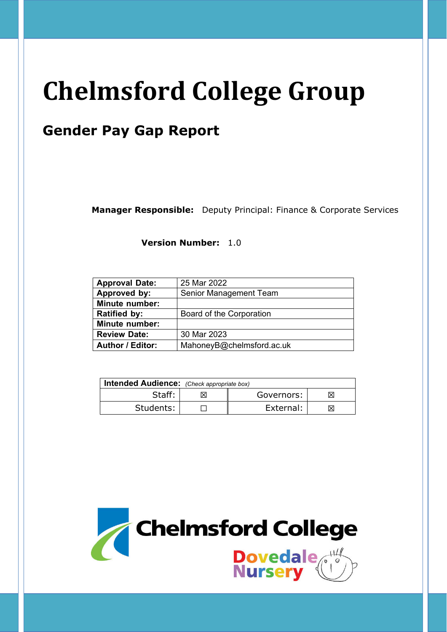# **Chelmsford College Group**

# **Gender Pay Gap Report**

**Manager Responsible:** Deputy Principal: Finance & Corporate Services

**Version Number:** 1.0

| <b>Approval Date:</b>   | 25 Mar 2022               |  |  |  |
|-------------------------|---------------------------|--|--|--|
| Approved by:            | Senior Management Team    |  |  |  |
| <b>Minute number:</b>   |                           |  |  |  |
| <b>Ratified by:</b>     | Board of the Corporation  |  |  |  |
| <b>Minute number:</b>   |                           |  |  |  |
| <b>Review Date:</b>     | 30 Mar 2023               |  |  |  |
| <b>Author / Editor:</b> | MahoneyB@chelmsford.ac.uk |  |  |  |

| <b>Intended Audience:</b> (Check appropriate box) |  |            |    |  |
|---------------------------------------------------|--|------------|----|--|
| Staff:                                            |  | Governors: |    |  |
| Students:                                         |  | External:  | ΙX |  |

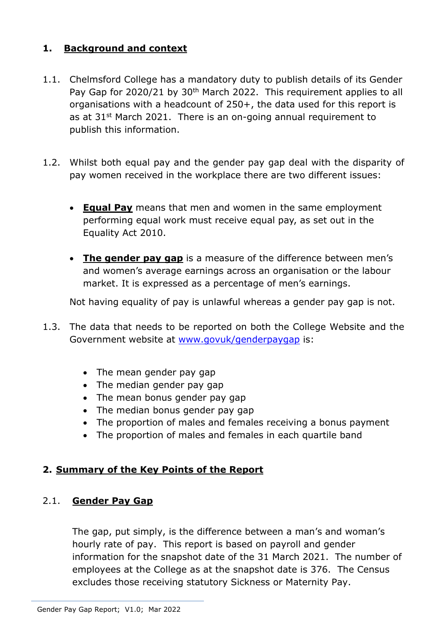# **1. Background and context**

- 1.1. Chelmsford College has a mandatory duty to publish details of its Gender Pay Gap for 2020/21 by 30<sup>th</sup> March 2022. This requirement applies to all organisations with a headcount of 250+, the data used for this report is as at 31<sup>st</sup> March 2021. There is an on-going annual requirement to publish this information.
- 1.2. Whilst both equal pay and the gender pay gap deal with the disparity of pay women received in the workplace there are two different issues:
	- **Equal Pay** means that men and women in the same employment performing equal work must receive equal pay, as set out in the Equality Act 2010.
	- **The gender pay gap** is a measure of the difference between men's and women's average earnings across an organisation or the labour market. It is expressed as a percentage of men's earnings.

Not having equality of pay is unlawful whereas a gender pay gap is not.

- 1.3. The data that needs to be reported on both the College Website and the Government website at www.govuk/genderpaygap is:
	- The mean gender pay gap
	- The median gender pay gap
	- The mean bonus gender pay gap
	- The median bonus gender pay gap
	- The proportion of males and females receiving a bonus payment
	- The proportion of males and females in each quartile band

#### **2. Summary of the Key Points of the Report**

#### 2.1. **Gender Pay Gap**

The gap, put simply, is the difference between a man's and woman's hourly rate of pay. This report is based on payroll and gender information for the snapshot date of the 31 March 2021. The number of employees at the College as at the snapshot date is 376. The Census excludes those receiving statutory Sickness or Maternity Pay.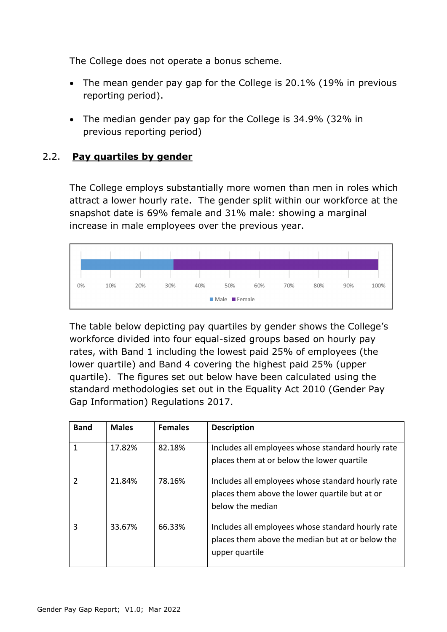The College does not operate a bonus scheme.

- The mean gender pay gap for the College is 20.1% (19% in previous reporting period).
- The median gender pay gap for the College is 34.9% (32% in previous reporting period)

#### 2.2. **Pay quartiles by gender**

The College employs substantially more women than men in roles which attract a lower hourly rate. The gender split within our workforce at the snapshot date is 69% female and 31% male: showing a marginal increase in male employees over the previous year.



The table below depicting pay quartiles by gender shows the College's workforce divided into four equal-sized groups based on hourly pay rates, with Band 1 including the lowest paid 25% of employees (the lower quartile) and Band 4 covering the highest paid 25% (upper quartile). The figures set out below have been calculated using the standard methodologies set out in the Equality Act 2010 (Gender Pay Gap Information) Regulations 2017.

| <b>Band</b>   | <b>Males</b> | <b>Females</b> | <b>Description</b>                                                                                                      |
|---------------|--------------|----------------|-------------------------------------------------------------------------------------------------------------------------|
| 1             | 17.82%       | 82.18%         | Includes all employees whose standard hourly rate<br>places them at or below the lower quartile                         |
| $\mathcal{P}$ | 21.84%       | 78.16%         | Includes all employees whose standard hourly rate<br>places them above the lower quartile but at or<br>below the median |
| 3             | 33.67%       | 66.33%         | Includes all employees whose standard hourly rate<br>places them above the median but at or below the<br>upper quartile |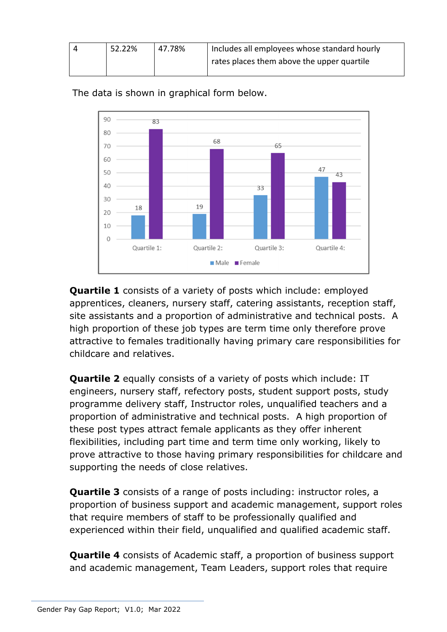| 52.22% | 47.78% | Includes all employees whose standard hourly |  |
|--------|--------|----------------------------------------------|--|
|        |        | rates places them above the upper quartile   |  |



The data is shown in graphical form below.

**Quartile 1** consists of a variety of posts which include: employed apprentices, cleaners, nursery staff, catering assistants, reception staff, site assistants and a proportion of administrative and technical posts. A high proportion of these job types are term time only therefore prove attractive to females traditionally having primary care responsibilities for childcare and relatives.

**Quartile 2** equally consists of a variety of posts which include: IT engineers, nursery staff, refectory posts, student support posts, study programme delivery staff, Instructor roles, unqualified teachers and a proportion of administrative and technical posts. A high proportion of these post types attract female applicants as they offer inherent flexibilities, including part time and term time only working, likely to prove attractive to those having primary responsibilities for childcare and supporting the needs of close relatives.

**Quartile 3** consists of a range of posts including: instructor roles, a proportion of business support and academic management, support roles that require members of staff to be professionally qualified and experienced within their field, unqualified and qualified academic staff.

**Quartile 4** consists of Academic staff, a proportion of business support and academic management, Team Leaders, support roles that require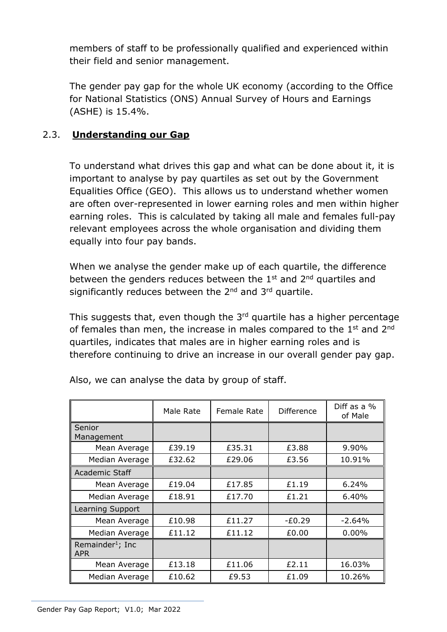members of staff to be professionally qualified and experienced within their field and senior management.

The gender pay gap for the whole UK economy (according to the Office for National Statistics (ONS) Annual Survey of Hours and Earnings (ASHE) is 15.4%.

# 2.3. **Understanding our Gap**

To understand what drives this gap and what can be done about it, it is important to analyse by pay quartiles as set out by the Government Equalities Office (GEO). This allows us to understand whether women are often over-represented in lower earning roles and men within higher earning roles. This is calculated by taking all male and females full-pay relevant employees across the whole organisation and dividing them equally into four pay bands.

When we analyse the gender make up of each quartile, the difference between the genders reduces between the  $1<sup>st</sup>$  and  $2<sup>nd</sup>$  quartiles and significantly reduces between the  $2<sup>nd</sup>$  and  $3<sup>rd</sup>$  quartile.

This suggests that, even though the  $3<sup>rd</sup>$  quartile has a higher percentage of females than men, the increase in males compared to the  $1<sup>st</sup>$  and  $2<sup>nd</sup>$ quartiles, indicates that males are in higher earning roles and is therefore continuing to drive an increase in our overall gender pay gap.

|                                            | Male Rate | <b>Female Rate</b> | Difference | Diff as a %<br>of Male |
|--------------------------------------------|-----------|--------------------|------------|------------------------|
| <b>Senior</b><br>Management                |           |                    |            |                        |
| Mean Average                               | £39.19    | £35.31             | £3.88      | $9.90\%$               |
| Median Average                             | £32.62    | £29.06             | £3.56      | 10.91%                 |
| Academic Staff                             |           |                    |            |                        |
| Mean Average                               | £19.04    | £17.85             | £1.19      | 6.24%                  |
| Median Average                             | £18.91    | £17.70             | £1.21      | 6.40%                  |
| Learning Support                           |           |                    |            |                        |
| Mean Average                               | £10.98    | £11.27             | -£0.29     | $-2.64%$               |
| Median Average                             | £11.12    | £11.12             | £0.00      | $0.00\%$               |
| Remainder <sup>1</sup> ; Inc<br><b>APR</b> |           |                    |            |                        |
| Mean Average                               | £13.18    | £11.06             | £2.11      | 16.03%                 |
| Median Average                             | £10.62    | £9.53              | £1.09      | 10.26%                 |

Also, we can analyse the data by group of staff.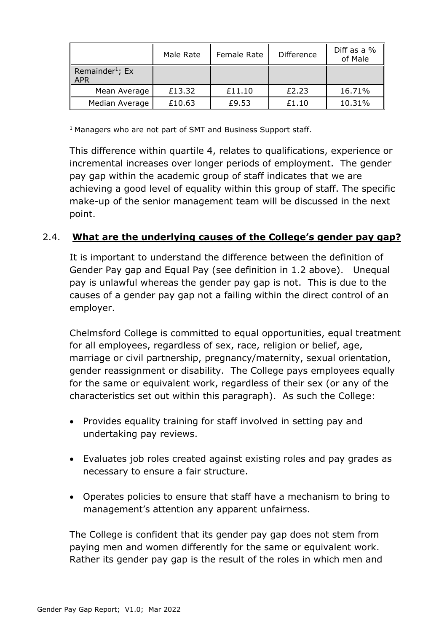|                                      | Male Rate | Female Rate | <b>Difference</b> | Diff as a %<br>of Male |
|--------------------------------------|-----------|-------------|-------------------|------------------------|
| Remainder <sup>1</sup> ; Ex<br>  APR |           |             |                   |                        |
| Mean Average                         | £13.32    | £11.10      | £2.23             | 16.71%                 |
| Median Average                       | £10.63    | £9.53       | £1.10             | 10.31%                 |

<sup>1</sup> Managers who are not part of SMT and Business Support staff.

This difference within quartile 4, relates to qualifications, experience or incremental increases over longer periods of employment. The gender pay gap within the academic group of staff indicates that we are achieving a good level of equality within this group of staff. The specific make-up of the senior management team will be discussed in the next point.

# 2.4. **What are the underlying causes of the College's gender pay gap?**

It is important to understand the difference between the definition of Gender Pay gap and Equal Pay (see definition in 1.2 above). Unequal pay is unlawful whereas the gender pay gap is not. This is due to the causes of a gender pay gap not a failing within the direct control of an employer.

Chelmsford College is committed to equal opportunities, equal treatment for all employees, regardless of sex, race, religion or belief, age, marriage or civil partnership, pregnancy/maternity, sexual orientation, gender reassignment or disability. The College pays employees equally for the same or equivalent work, regardless of their sex (or any of the characteristics set out within this paragraph). As such the College:

- Provides equality training for staff involved in setting pay and undertaking pay reviews.
- Evaluates job roles created against existing roles and pay grades as necessary to ensure a fair structure.
- Operates policies to ensure that staff have a mechanism to bring to management's attention any apparent unfairness.

The College is confident that its gender pay gap does not stem from paying men and women differently for the same or equivalent work. Rather its gender pay gap is the result of the roles in which men and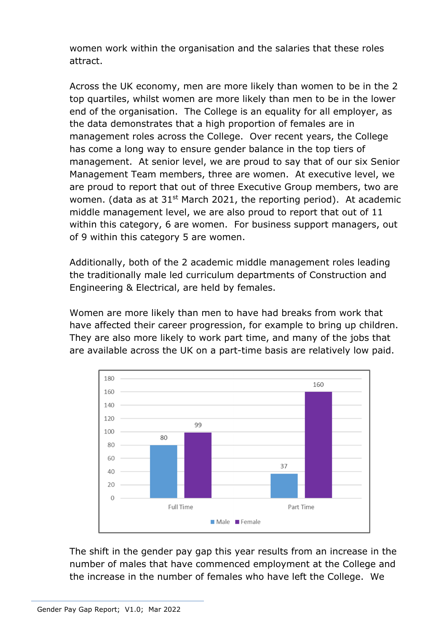women work within the organisation and the salaries that these roles attract.

Across the UK economy, men are more likely than women to be in the 2 top quartiles, whilst women are more likely than men to be in the lower end of the organisation. The College is an equality for all employer, as the data demonstrates that a high proportion of females are in management roles across the College. Over recent years, the College has come a long way to ensure gender balance in the top tiers of management. At senior level, we are proud to say that of our six Senior Management Team members, three are women. At executive level, we are proud to report that out of three Executive Group members, two are women. (data as at  $31^{st}$  March 2021, the reporting period). At academic middle management level, we are also proud to report that out of 11 within this category, 6 are women. For business support managers, out of 9 within this category 5 are women.

Additionally, both of the 2 academic middle management roles leading the traditionally male led curriculum departments of Construction and Engineering & Electrical, are held by females.

Women are more likely than men to have had breaks from work that have affected their career progression, for example to bring up children. They are also more likely to work part time, and many of the jobs that are available across the UK on a part-time basis are relatively low paid.



The shift in the gender pay gap this year results from an increase in the number of males that have commenced employment at the College and the increase in the number of females who have left the College. We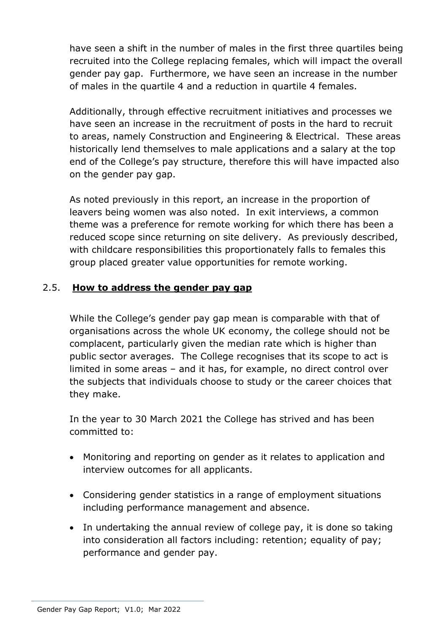have seen a shift in the number of males in the first three quartiles being recruited into the College replacing females, which will impact the overall gender pay gap. Furthermore, we have seen an increase in the number of males in the quartile 4 and a reduction in quartile 4 females.

Additionally, through effective recruitment initiatives and processes we have seen an increase in the recruitment of posts in the hard to recruit to areas, namely Construction and Engineering & Electrical. These areas historically lend themselves to male applications and a salary at the top end of the College's pay structure, therefore this will have impacted also on the gender pay gap.

As noted previously in this report, an increase in the proportion of leavers being women was also noted. In exit interviews, a common theme was a preference for remote working for which there has been a reduced scope since returning on site delivery. As previously described, with childcare responsibilities this proportionately falls to females this group placed greater value opportunities for remote working.

# 2.5. **How to address the gender pay gap**

While the College's gender pay gap mean is comparable with that of organisations across the whole UK economy, the college should not be complacent, particularly given the median rate which is higher than public sector averages. The College recognises that its scope to act is limited in some areas – and it has, for example, no direct control over the subjects that individuals choose to study or the career choices that they make.

In the year to 30 March 2021 the College has strived and has been committed to:

- Monitoring and reporting on gender as it relates to application and interview outcomes for all applicants.
- Considering gender statistics in a range of employment situations including performance management and absence.
- In undertaking the annual review of college pay, it is done so taking into consideration all factors including: retention; equality of pay; performance and gender pay.